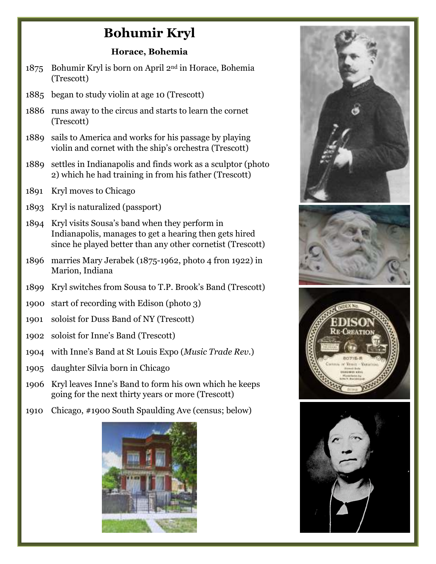## **Bohumir Kryl**

## **Horace, Bohemia**

- 1875 Bohumir Kryl is born on April 2nd in Horace, Bohemia (Trescott)
- 1885 began to study violin at age 10 (Trescott)
- 1886 runs away to the circus and starts to learn the cornet (Trescott)
- 1889 sails to America and works for his passage by playing violin and cornet with the ship's orchestra (Trescott)
- 1889 settles in Indianapolis and finds work as a sculptor (photo 2) which he had training in from his father (Trescott)
- 1891 Kryl moves to Chicago
- 1893 Kryl is naturalized (passport)
- 1894 Kryl visits Sousa's band when they perform in Indianapolis, manages to get a hearing then gets hired since he played better than any other cornetist (Trescott)
- 1896 marries Mary Jerabek (1875-1962, photo 4 fron 1922) in Marion, Indiana
- 1899 Kryl switches from Sousa to T.P. Brook's Band (Trescott)
- 1900 start of recording with Edison (photo 3)
- 1901 soloist for Duss Band of NY (Trescott)
- 1902 soloist for Inne's Band (Trescott)
- 1904 with Inne's Band at St Louis Expo (*Music Trade Rev.*)
- 1905 daughter Silvia born in Chicago
- 1906 Kryl leaves Inne's Band to form his own which he keeps going for the next thirty years or more (Trescott)
- 1910 Chicago, #1900 South Spaulding Ave (census; below)